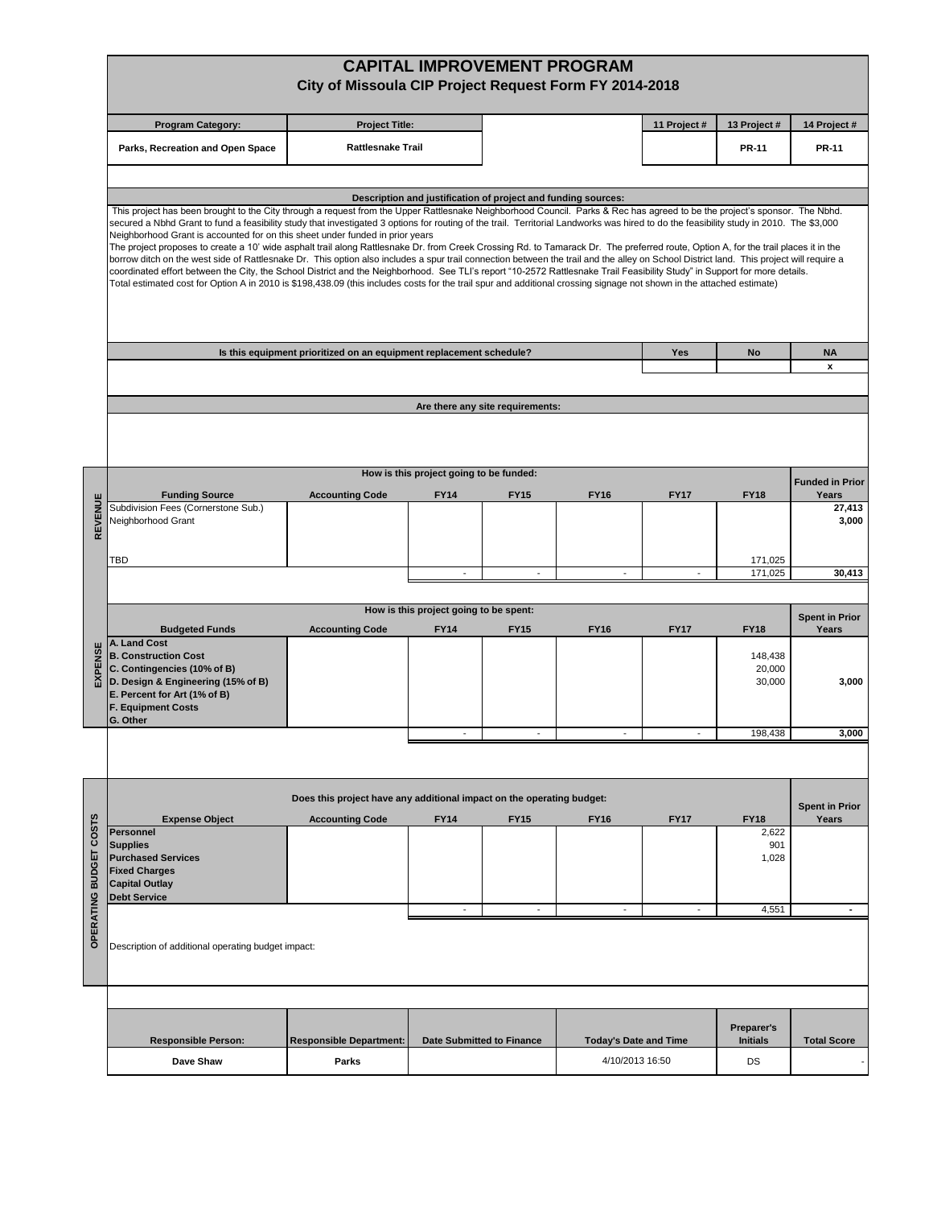|                                         | <b>CAPITAL IMPROVEMENT PROGRAM</b><br>City of Missoula CIP Project Request Form FY 2014-2018                                                                                                                                                                                                                                                                                                                                                                                                                                                                                                                                                                                                                                                                                                                                                                                                                                                                                                                                                                                                                                                                                                    |                                |                                                               |                                  |                              |                          |                               |                                |  |  |  |
|-----------------------------------------|-------------------------------------------------------------------------------------------------------------------------------------------------------------------------------------------------------------------------------------------------------------------------------------------------------------------------------------------------------------------------------------------------------------------------------------------------------------------------------------------------------------------------------------------------------------------------------------------------------------------------------------------------------------------------------------------------------------------------------------------------------------------------------------------------------------------------------------------------------------------------------------------------------------------------------------------------------------------------------------------------------------------------------------------------------------------------------------------------------------------------------------------------------------------------------------------------|--------------------------------|---------------------------------------------------------------|----------------------------------|------------------------------|--------------------------|-------------------------------|--------------------------------|--|--|--|
|                                         | <b>Program Category:</b>                                                                                                                                                                                                                                                                                                                                                                                                                                                                                                                                                                                                                                                                                                                                                                                                                                                                                                                                                                                                                                                                                                                                                                        | <b>Project Title:</b>          |                                                               |                                  |                              | 11 Project #             | 13 Project#                   | 14 Project #                   |  |  |  |
|                                         | Parks, Recreation and Open Space                                                                                                                                                                                                                                                                                                                                                                                                                                                                                                                                                                                                                                                                                                                                                                                                                                                                                                                                                                                                                                                                                                                                                                | <b>Rattlesnake Trail</b>       |                                                               |                                  |                              |                          | <b>PR-11</b>                  | <b>PR-11</b>                   |  |  |  |
|                                         |                                                                                                                                                                                                                                                                                                                                                                                                                                                                                                                                                                                                                                                                                                                                                                                                                                                                                                                                                                                                                                                                                                                                                                                                 |                                |                                                               |                                  |                              |                          |                               |                                |  |  |  |
|                                         |                                                                                                                                                                                                                                                                                                                                                                                                                                                                                                                                                                                                                                                                                                                                                                                                                                                                                                                                                                                                                                                                                                                                                                                                 |                                | Description and justification of project and funding sources: |                                  |                              |                          |                               |                                |  |  |  |
|                                         | This project has been brought to the City through a request from the Upper Rattlesnake Neighborhood Council. Parks & Rec has agreed to be the project's sponsor. The Nbhd.<br>secured a Nbhd Grant to fund a feasibility study that investigated 3 options for routing of the trail. Territorial Landworks was hired to do the feasibility study in 2010. The \$3,000<br>Neighborhood Grant is accounted for on this sheet under funded in prior years<br>The project proposes to create a 10' wide asphalt trail along Rattlesnake Dr. from Creek Crossing Rd. to Tamarack Dr. The preferred route, Option A, for the trail places it in the<br>borrow ditch on the west side of Rattlesnake Dr. This option also includes a spur trail connection between the trail and the alley on School District land. This project will require a<br>coordinated effort between the City, the School District and the Neighborhood. See TLI's report "10-2572 Rattlesnake Trail Feasibility Study" in Support for more details.<br>Total estimated cost for Option A in 2010 is \$198,438.09 (this includes costs for the trail spur and additional crossing signage not shown in the attached estimate) |                                |                                                               |                                  |                              |                          |                               |                                |  |  |  |
|                                         | Is this equipment prioritized on an equipment replacement schedule?<br>Yes                                                                                                                                                                                                                                                                                                                                                                                                                                                                                                                                                                                                                                                                                                                                                                                                                                                                                                                                                                                                                                                                                                                      |                                |                                                               |                                  |                              |                          | No                            | <b>NA</b>                      |  |  |  |
|                                         |                                                                                                                                                                                                                                                                                                                                                                                                                                                                                                                                                                                                                                                                                                                                                                                                                                                                                                                                                                                                                                                                                                                                                                                                 |                                |                                                               |                                  |                              |                          |                               | x                              |  |  |  |
|                                         |                                                                                                                                                                                                                                                                                                                                                                                                                                                                                                                                                                                                                                                                                                                                                                                                                                                                                                                                                                                                                                                                                                                                                                                                 |                                |                                                               |                                  |                              |                          |                               |                                |  |  |  |
|                                         |                                                                                                                                                                                                                                                                                                                                                                                                                                                                                                                                                                                                                                                                                                                                                                                                                                                                                                                                                                                                                                                                                                                                                                                                 |                                |                                                               | Are there any site requirements: |                              |                          |                               |                                |  |  |  |
|                                         |                                                                                                                                                                                                                                                                                                                                                                                                                                                                                                                                                                                                                                                                                                                                                                                                                                                                                                                                                                                                                                                                                                                                                                                                 |                                | How is this project going to be funded:                       |                                  |                              |                          |                               | <b>Funded in Prior</b>         |  |  |  |
|                                         | <b>Funding Source</b>                                                                                                                                                                                                                                                                                                                                                                                                                                                                                                                                                                                                                                                                                                                                                                                                                                                                                                                                                                                                                                                                                                                                                                           | <b>Accounting Code</b>         | <b>FY14</b>                                                   | <b>FY15</b>                      | <b>FY16</b>                  | <b>FY17</b>              | <b>FY18</b>                   | Years                          |  |  |  |
| REVENUE                                 | Subdivision Fees (Cornerstone Sub.)<br>Neighborhood Grant                                                                                                                                                                                                                                                                                                                                                                                                                                                                                                                                                                                                                                                                                                                                                                                                                                                                                                                                                                                                                                                                                                                                       |                                |                                                               |                                  |                              |                          |                               | 27,413<br>3,000                |  |  |  |
|                                         | TBD                                                                                                                                                                                                                                                                                                                                                                                                                                                                                                                                                                                                                                                                                                                                                                                                                                                                                                                                                                                                                                                                                                                                                                                             |                                |                                                               |                                  |                              |                          | 171,025                       |                                |  |  |  |
|                                         |                                                                                                                                                                                                                                                                                                                                                                                                                                                                                                                                                                                                                                                                                                                                                                                                                                                                                                                                                                                                                                                                                                                                                                                                 |                                |                                                               |                                  |                              |                          | 171,025                       | 30,413                         |  |  |  |
|                                         | How is this project going to be spent:                                                                                                                                                                                                                                                                                                                                                                                                                                                                                                                                                                                                                                                                                                                                                                                                                                                                                                                                                                                                                                                                                                                                                          |                                |                                                               |                                  |                              |                          |                               |                                |  |  |  |
|                                         | <b>Budgeted Funds</b>                                                                                                                                                                                                                                                                                                                                                                                                                                                                                                                                                                                                                                                                                                                                                                                                                                                                                                                                                                                                                                                                                                                                                                           | <b>FY17</b>                    | <b>FY18</b>                                                   | <b>Spent in Prior</b><br>Years   |                              |                          |                               |                                |  |  |  |
| EXPENSE                                 | A. Land Cost<br><b>B. Construction Cost</b><br>C. Contingencies (10% of B)<br>D. Design & Engineering (15% of B)<br>E. Percent for Art (1% of B)<br><b>F. Equipment Costs</b><br>G. Other                                                                                                                                                                                                                                                                                                                                                                                                                                                                                                                                                                                                                                                                                                                                                                                                                                                                                                                                                                                                       | <b>Accounting Code</b>         | <b>FY14</b>                                                   | <b>FY15</b>                      | <b>FY16</b>                  |                          | 148,438<br>20,000<br>30,000   | 3,000                          |  |  |  |
|                                         |                                                                                                                                                                                                                                                                                                                                                                                                                                                                                                                                                                                                                                                                                                                                                                                                                                                                                                                                                                                                                                                                                                                                                                                                 |                                |                                                               |                                  |                              |                          | 198,438                       | 3,000                          |  |  |  |
|                                         |                                                                                                                                                                                                                                                                                                                                                                                                                                                                                                                                                                                                                                                                                                                                                                                                                                                                                                                                                                                                                                                                                                                                                                                                 |                                |                                                               |                                  |                              |                          |                               |                                |  |  |  |
|                                         | Does this project have any additional impact on the operating budget:                                                                                                                                                                                                                                                                                                                                                                                                                                                                                                                                                                                                                                                                                                                                                                                                                                                                                                                                                                                                                                                                                                                           |                                |                                                               |                                  |                              |                          |                               |                                |  |  |  |
|                                         | <b>Expense Object</b>                                                                                                                                                                                                                                                                                                                                                                                                                                                                                                                                                                                                                                                                                                                                                                                                                                                                                                                                                                                                                                                                                                                                                                           | <b>Accounting Code</b>         | <b>FY14</b>                                                   | <b>FY15</b>                      | <b>FY16</b>                  | <b>FY17</b>              | <b>FY18</b>                   | <b>Spent in Prior</b><br>Years |  |  |  |
| <b>COSTS</b><br><b>OPERATING BUDGET</b> | <b>Personnel</b><br><b>Supplies</b><br><b>Purchased Services</b><br><b>Fixed Charges</b><br><b>Capital Outlay</b><br><b>Debt Service</b>                                                                                                                                                                                                                                                                                                                                                                                                                                                                                                                                                                                                                                                                                                                                                                                                                                                                                                                                                                                                                                                        |                                |                                                               |                                  |                              |                          | 2,622<br>901<br>1,028         |                                |  |  |  |
|                                         |                                                                                                                                                                                                                                                                                                                                                                                                                                                                                                                                                                                                                                                                                                                                                                                                                                                                                                                                                                                                                                                                                                                                                                                                 |                                | $\overline{\phantom{a}}$                                      | $\blacksquare$                   | $\blacksquare$               | $\overline{\phantom{a}}$ | 4,551                         | $\blacksquare$                 |  |  |  |
|                                         | Description of additional operating budget impact:                                                                                                                                                                                                                                                                                                                                                                                                                                                                                                                                                                                                                                                                                                                                                                                                                                                                                                                                                                                                                                                                                                                                              |                                |                                                               |                                  |                              |                          |                               |                                |  |  |  |
|                                         |                                                                                                                                                                                                                                                                                                                                                                                                                                                                                                                                                                                                                                                                                                                                                                                                                                                                                                                                                                                                                                                                                                                                                                                                 |                                |                                                               |                                  |                              |                          |                               |                                |  |  |  |
|                                         | <b>Responsible Person:</b>                                                                                                                                                                                                                                                                                                                                                                                                                                                                                                                                                                                                                                                                                                                                                                                                                                                                                                                                                                                                                                                                                                                                                                      | <b>Responsible Department:</b> | <b>Date Submitted to Finance</b>                              |                                  | <b>Today's Date and Time</b> |                          | Preparer's<br><b>Initials</b> | <b>Total Score</b>             |  |  |  |
|                                         | Dave Shaw                                                                                                                                                                                                                                                                                                                                                                                                                                                                                                                                                                                                                                                                                                                                                                                                                                                                                                                                                                                                                                                                                                                                                                                       | Parks                          |                                                               |                                  | 4/10/2013 16:50              |                          | DS                            |                                |  |  |  |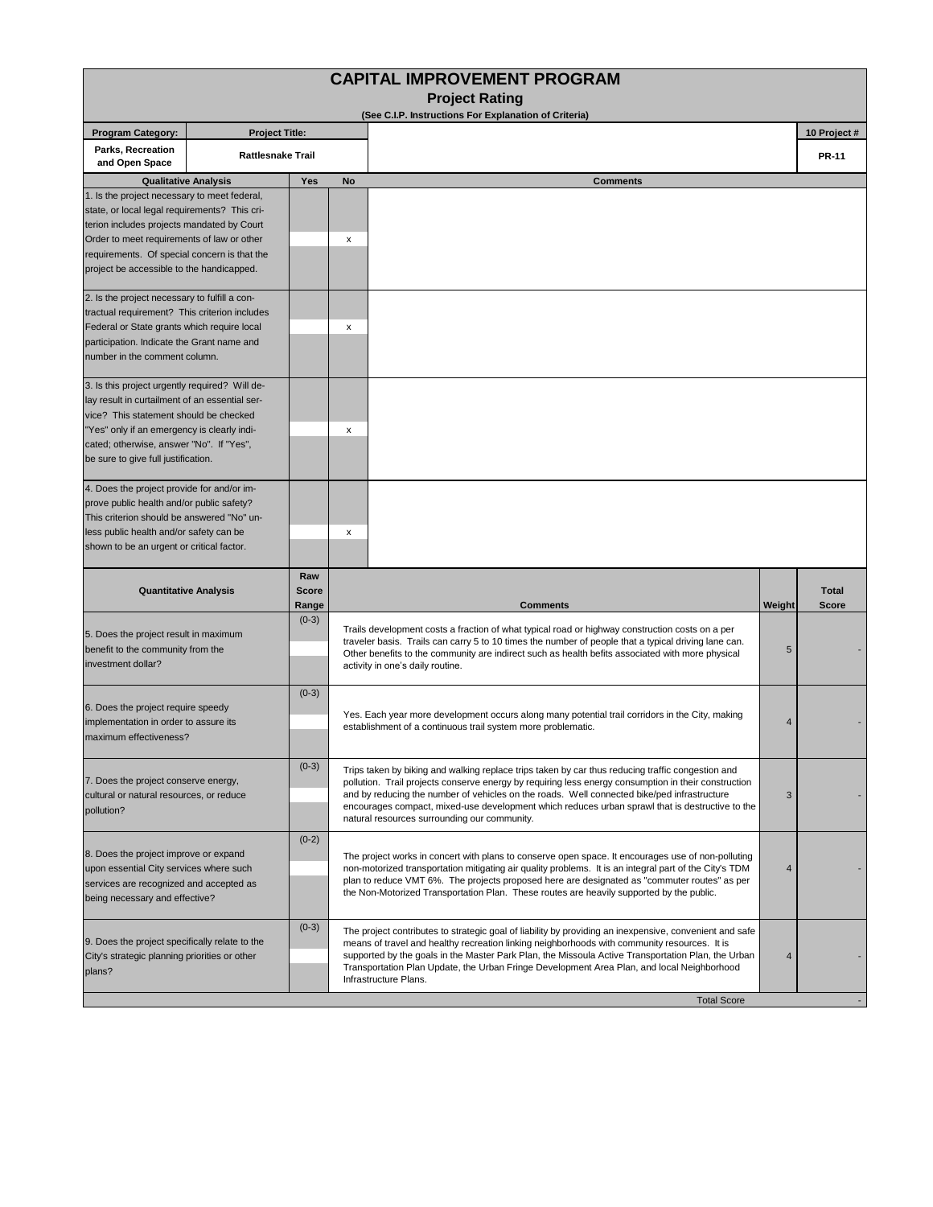| <b>Program Category:</b><br><b>Project Title:</b><br>Parks, Recreation<br><b>Rattlesnake Trail</b><br>and Open Space                                                                                                                                                                   |                                                                                                                                                                                                                                                                                                                                                                                                          | <b>Project Rating</b><br>(See C.I.P. Instructions For Explanation of Criteria)                                                                                                                                                                                                                                                                                                                                                                                               |        |                              |  |  |
|----------------------------------------------------------------------------------------------------------------------------------------------------------------------------------------------------------------------------------------------------------------------------------------|----------------------------------------------------------------------------------------------------------------------------------------------------------------------------------------------------------------------------------------------------------------------------------------------------------------------------------------------------------------------------------------------------------|------------------------------------------------------------------------------------------------------------------------------------------------------------------------------------------------------------------------------------------------------------------------------------------------------------------------------------------------------------------------------------------------------------------------------------------------------------------------------|--------|------------------------------|--|--|
|                                                                                                                                                                                                                                                                                        |                                                                                                                                                                                                                                                                                                                                                                                                          |                                                                                                                                                                                                                                                                                                                                                                                                                                                                              |        |                              |  |  |
|                                                                                                                                                                                                                                                                                        |                                                                                                                                                                                                                                                                                                                                                                                                          |                                                                                                                                                                                                                                                                                                                                                                                                                                                                              |        | 10 Project #                 |  |  |
|                                                                                                                                                                                                                                                                                        |                                                                                                                                                                                                                                                                                                                                                                                                          |                                                                                                                                                                                                                                                                                                                                                                                                                                                                              |        | <b>PR-11</b>                 |  |  |
| <b>Qualitative Analysis</b>                                                                                                                                                                                                                                                            | Yes<br>No                                                                                                                                                                                                                                                                                                                                                                                                | <b>Comments</b>                                                                                                                                                                                                                                                                                                                                                                                                                                                              |        |                              |  |  |
| 1. Is the project necessary to meet federal,<br>state, or local legal requirements? This cri-<br>terion includes projects mandated by Court<br>Order to meet requirements of law or other<br>requirements. Of special concern is that the<br>project be accessible to the handicapped. | x                                                                                                                                                                                                                                                                                                                                                                                                        |                                                                                                                                                                                                                                                                                                                                                                                                                                                                              |        |                              |  |  |
| 2. Is the project necessary to fulfill a con-<br>tractual requirement? This criterion includes<br>Federal or State grants which require local<br>participation. Indicate the Grant name and<br>number in the comment column.                                                           | х                                                                                                                                                                                                                                                                                                                                                                                                        |                                                                                                                                                                                                                                                                                                                                                                                                                                                                              |        |                              |  |  |
| 3. Is this project urgently required? Will de-<br>lay result in curtailment of an essential ser-<br>vice? This statement should be checked<br>"Yes" only if an emergency is clearly indi-<br>cated; otherwise, answer "No". If "Yes",<br>be sure to give full justification.           | x                                                                                                                                                                                                                                                                                                                                                                                                        |                                                                                                                                                                                                                                                                                                                                                                                                                                                                              |        |                              |  |  |
| 4. Does the project provide for and/or im-<br>prove public health and/or public safety?<br>This criterion should be answered "No" un-<br>less public health and/or safety can be<br>shown to be an urgent or critical factor.                                                          | x                                                                                                                                                                                                                                                                                                                                                                                                        |                                                                                                                                                                                                                                                                                                                                                                                                                                                                              |        |                              |  |  |
| <b>Quantitative Analysis</b>                                                                                                                                                                                                                                                           | Raw<br><b>Score</b><br>Range                                                                                                                                                                                                                                                                                                                                                                             | <b>Comments</b>                                                                                                                                                                                                                                                                                                                                                                                                                                                              | Weight | <b>Total</b><br><b>Score</b> |  |  |
| 5. Does the project result in maximum<br>benefit to the community from the<br>investment dollar?                                                                                                                                                                                       | $(0-3)$                                                                                                                                                                                                                                                                                                                                                                                                  | Trails development costs a fraction of what typical road or highway construction costs on a per<br>traveler basis. Trails can carry 5 to 10 times the number of people that a typical driving lane can.<br>5<br>Other benefits to the community are indirect such as health befits associated with more physical<br>activity in one's daily routine.                                                                                                                         |        |                              |  |  |
| 6. Does the project require speedy<br>implementation in order to assure its<br>maximum effectiveness?                                                                                                                                                                                  | $(0-3)$                                                                                                                                                                                                                                                                                                                                                                                                  | Yes. Each year more development occurs along many potential trail corridors in the City, making<br>4<br>establishment of a continuous trail system more problematic.                                                                                                                                                                                                                                                                                                         |        |                              |  |  |
| 7. Does the project conserve energy,<br>cultural or natural resources, or reduce<br>pollution?                                                                                                                                                                                         | $(0-3)$                                                                                                                                                                                                                                                                                                                                                                                                  | Trips taken by biking and walking replace trips taken by car thus reducing traffic congestion and<br>pollution. Trail projects conserve energy by requiring less energy consumption in their construction<br>and by reducing the number of vehicles on the roads. Well connected bike/ped infrastructure<br>3<br>encourages compact, mixed-use development which reduces urban sprawl that is destructive to the<br>natural resources surrounding our community.             |        |                              |  |  |
| $(0-2)$<br>8. Does the project improve or expand<br>upon essential City services where such<br>services are recognized and accepted as<br>being necessary and effective?                                                                                                               | The project works in concert with plans to conserve open space. It encourages use of non-polluting<br>non-motorized transportation mitigating air quality problems. It is an integral part of the City's TDM<br>plan to reduce VMT 6%. The projects proposed here are designated as "commuter routes" as per<br>the Non-Motorized Transportation Plan. These routes are heavily supported by the public. | 4                                                                                                                                                                                                                                                                                                                                                                                                                                                                            |        |                              |  |  |
| 9. Does the project specifically relate to the<br>City's strategic planning priorities or other<br>plans?                                                                                                                                                                              | $(0-3)$                                                                                                                                                                                                                                                                                                                                                                                                  | The project contributes to strategic goal of liability by providing an inexpensive, convenient and safe<br>means of travel and healthy recreation linking neighborhoods with community resources. It is<br>supported by the goals in the Master Park Plan, the Missoula Active Transportation Plan, the Urban<br>$\overline{4}$<br>Transportation Plan Update, the Urban Fringe Development Area Plan, and local Neighborhood<br>Infrastructure Plans.<br><b>Total Score</b> |        |                              |  |  |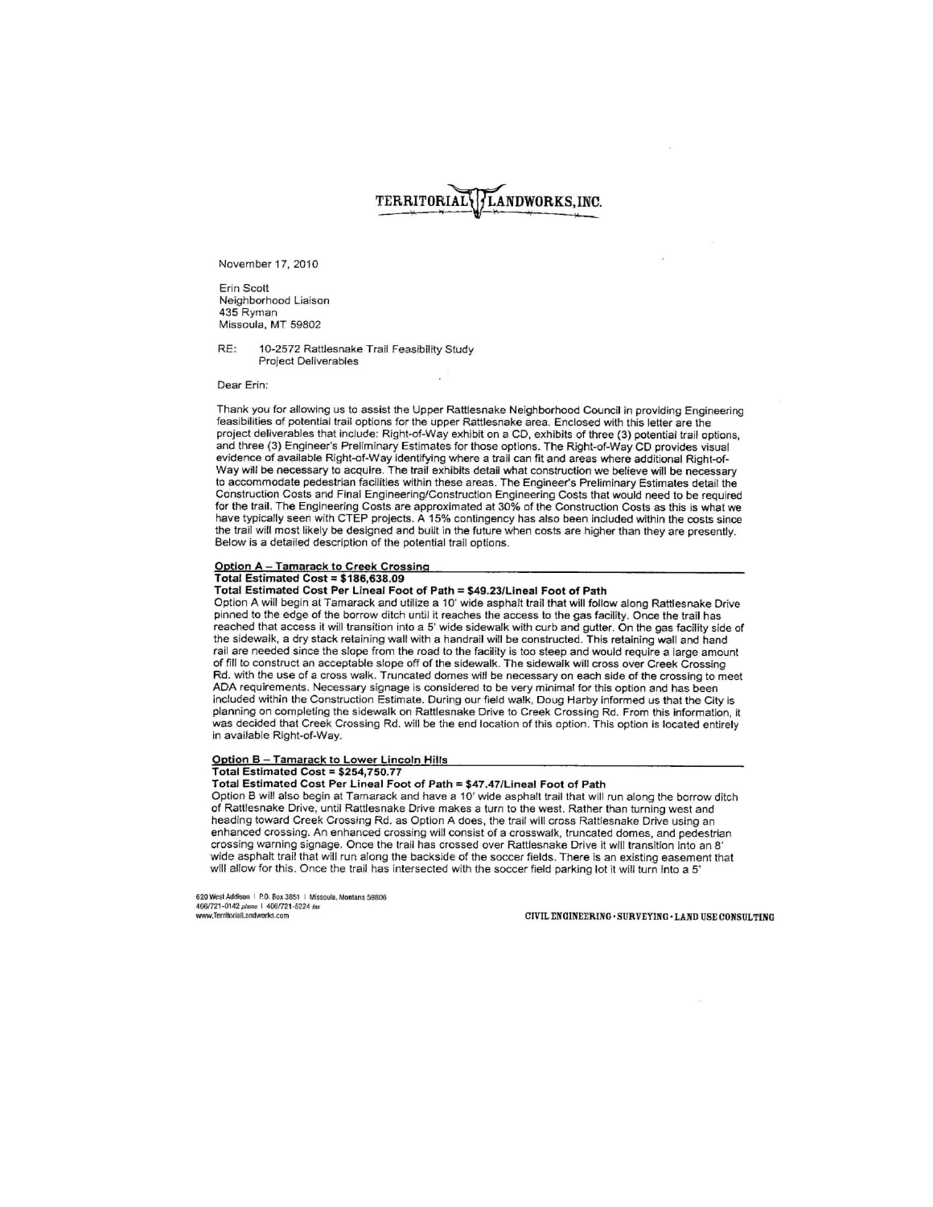# TERRITORIAL LANDWORKS, INC.

November 17, 2010

Frin Scott Neighborhood Liaison 435 Ryman Missoula, MT 59802

RF. 10-2572 Rattlesnake Trail Feasibility Study **Project Deliverables** 

Dear Erin:

Thank you for allowing us to assist the Upper Rattlesnake Neighborhood Council in providing Engineering feasibilities of potential trail options for the upper Rattlesnake area. Enclosed with this letter are the project deliverables that include: Right-of-Way exhibit on a CD, exhibits of three (3) potential trail options, and three (3) Engineer's Preliminary Estimates for those options. The Right-of-Way CD provides visual evidence of available Right-of-Way identifying where a trail can fit and areas where additional Right-of-Way will be necessary to acquire. The trail exhibits detail what construction we believe will be necessary to accommodate pedestrian facilities within these areas. The Engineer's Preliminary Estimates detail the Construction Costs and Final Engineering/Construction Engineering Costs that would need to be required for the trail. The Engineering Costs are approximated at 30% of the Construction Costs as this is what we have typically seen with CTEP projects. A 15% contingency has also been included within the costs since the trail will most likely be designed and built in the future when costs are higher than they are presently. Below is a detailed description of the potential trail options.

## Option A - Tamarack to Creek Crossing

Total Estimated Cost = \$186,638.09

Total Estimated Cost Per Lineal Foot of Path = \$49.23/Lineal Foot of Path

Option A will begin at Tamarack and utilize a 10' wide asphalt trail that will follow along Rattlesnake Drive pinned to the edge of the borrow ditch until it reaches the access to the gas facility. Once the trail has reached that access it will transition into a 5' wide sidewalk with curb and gutter. On the gas facility side of the sidewalk, a dry stack retaining wall with a handrail will be constructed. This retaining wall and hand rail are needed since the slope from the road to the facility is too steep and would require a large amount of fill to construct an acceptable slope off of the sidewalk. The sidewalk will cross over Creek Crossing Rd. with the use of a cross walk. Truncated domes will be necessary on each side of the crossing to meet ADA requirements. Necessary signage is considered to be very minimal for this option and has been included within the Construction Estimate. During our field walk, Doug Harby informed us that the City is planning on completing the sidewalk on Rattlesnake Drive to Creek Crossing Rd. From this information, it was decided that Creek Crossing Rd. will be the end location of this option. This option is located entirely in available Right-of-Way.

#### Option B - Tamarack to Lower Lincoln Hills Total Estimated Cost = \$254,750.77

### Total Estimated Cost Per Lineal Foot of Path = \$47.47/Lineal Foot of Path

Option B will also begin at Tamarack and have a 10' wide asphalt trail that will run along the borrow ditch of Rattlesnake Drive, until Rattlesnake Drive makes a turn to the west. Rather than turning west and heading toward Creek Crossing Rd. as Option A does, the trail will cross Rattlesnake Drive using an enhanced crossing. An enhanced crossing will consist of a crosswalk, truncated domes, and pedestrian crossing warning signage. Once the trail has crossed over Rattlesnake Drive it will transition into an 8' wide asphalt trail that will run along the backside of the soccer fields. There is an existing easement that will allow for this. Once the trail has intersected with the soccer field parking lot it will turn into a 5'

620 West Addison | P.O. Box 3851 | Missoula, Montana 59806<br>406/721-0142 phone | 406/721-5224 fax<br>www.TerritorialLandworks.com

CIVIL ENGINEERING · SURVEYING · LAND USE CONSULTING